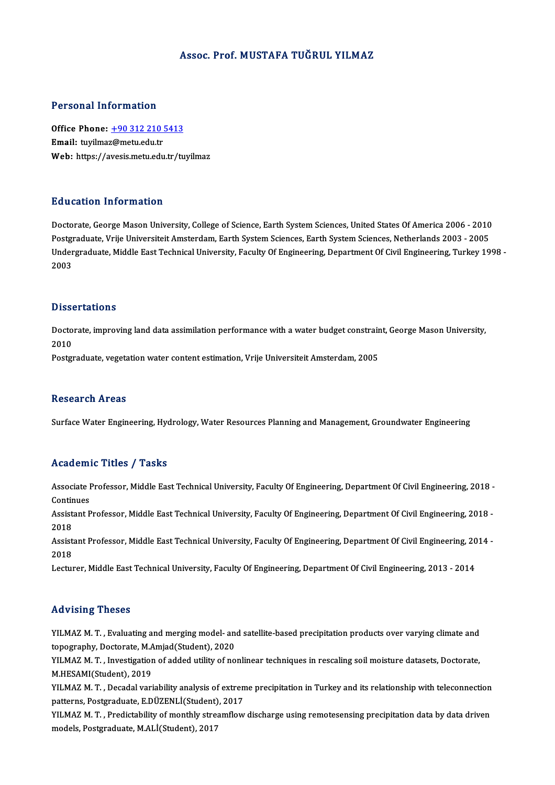#### Assoc. Prof.MUSTAFA TUĞRUL YILMAZ

#### Personal Information

Personal Information<br>Office Phone: <u>+90 312 210 5413</u><br>Email: turilmaz@matu.edu.tr Procedulation interests<br>Office Phone: <u>+90 312 210</u><br>Email: tuyilma[z@metu.edu.tr](tel:+90 312 210 5413) Office Phone: <u>+90 312 210 5413</u><br>Email: tuyilmaz@metu.edu.tr<br>Web: https://avesis.metu.edu.tr/tuyilmaz Web: https://avesis.metu.edu.tr/tuyilmaz<br>Education Information

Doctorate, George Mason University, College of Science, Earth System Sciences, United States Of America 2006 - 2010 Putted Caston Timot Interion<br>Doctorate, George Mason University, College of Science, Earth System Sciences, United States Of America 2006 - 2010<br>Postgraduate, Vrije Universiteit Amsterdam, Earth System Sciences, Earth Syst Undergraduate, Middle East Technical University, Faculty Of Engineering, Department Of Civil Engineering, Turkey 1998 -<br>2003 Postgi<br>Under<br>2003

#### **Dissertations**

Dissertations<br>Doctorate, improving land data assimilation performance with a water budget constraint, George Mason University,<br>2010 Disse<br>Docto<br>2010 Doctorate, improving land data assimilation performance with a water budget constrair<br>2010<br>Postgraduate, vegetation water content estimation, Vrije Universiteit Amsterdam, 2005

Postgraduate, vegetation water content estimation, Vrije Universiteit Amsterdam, 2005<br>Research Areas

Surface Water Engineering, Hydrology, Water Resources Planning and Management, Groundwater Engineering

#### Academic Titles / Tasks

Academic Titles / Tasks<br>Associate Professor, Middle East Technical University, Faculty Of Engineering, Department Of Civil Engineering, 2018 -<br>Continues Associate I<br>Continues<br>Assistant B Associate Professor, Middle East Technical University, Faculty Of Engineering, Department Of Civil Engineering, 2018 -<br>Continues<br>Assistant Professor, Middle East Technical University, Faculty Of Engineering, Department Of

Contir<br>Assist<br>2018 Assistant Professor, Middle East Technical University, Faculty Of Engineering, Department Of Civil Engineering, 2018 -<br>2018<br>Assistant Professor, Middle East Technical University, Faculty Of Engineering, Department Of Civil

2018<br>Assistant Professor, Middle East Technical University, Faculty Of Engineering, Department Of Civil Engineering, 2014 -<br>2018

Lecturer, Middle East Technical University, Faculty Of Engineering, Department Of Civil Engineering, 2013 - 2014

#### Advising Theses

Advising Theses<br>YILMAZ M. T. , Evaluating and merging model- and satellite-based precipitation products over varying climate and<br>tenegraphy, Destarate M Amiad(Student), 2020 THE FISHING THESSES<br>YILMAZ M. T. , Evaluating and merging model- an<br>topography, Doctorate, M.Amjad(Student), 2020<br>YU MAZ M. T. , Investigation of added utility of no YILMAZ M. T. , Evaluating and merging model- and satellite-based precipitation products over varying climate and<br>topography, Doctorate, M.Amjad(Student), 2020<br>YILMAZ M. T. , Investigation of added utility of nonlinear tech

topography, Doctorate, M.A<br>YILMAZ M. T. , Investigatior<br>M.HESAMI(Student), 2019<br>YU MAZ M. T. , Dosadal vari YILMAZ M. T. , Investigation of added utility of nonlinear techniques in rescaling soil moisture datasets, Doctorate,<br>M.HESAMI(Student), 2019<br>YILMAZ M. T. , Decadal variability analysis of extreme precipitation in Turkey a

M.HESAMI(Student), 2019<br>YILMAZ M. T. , Decadal variability analysis of extren<br>patterns, Postgraduate, E.DÜZENLİ(Student), 2017<br>YU MAZ M. T., Predistability of monthly streamflow YILMAZ M. T. , Decadal variability analysis of extreme precipitation in Turkey and its relationship with teleconnection<br>patterns, Postgraduate, E.DÜZENLİ(Student), 2017<br>YILMAZ M. T. , Predictability of monthly streamflow d

patterns, Postgraduate, E.DÜZENLİ(Student), 2017<br>YILMAZ M. T. , Predictability of monthly streamflow discharge using remotesensing precipitation data by data driven<br>models, Postgraduate, M.ALİ(Student), 2017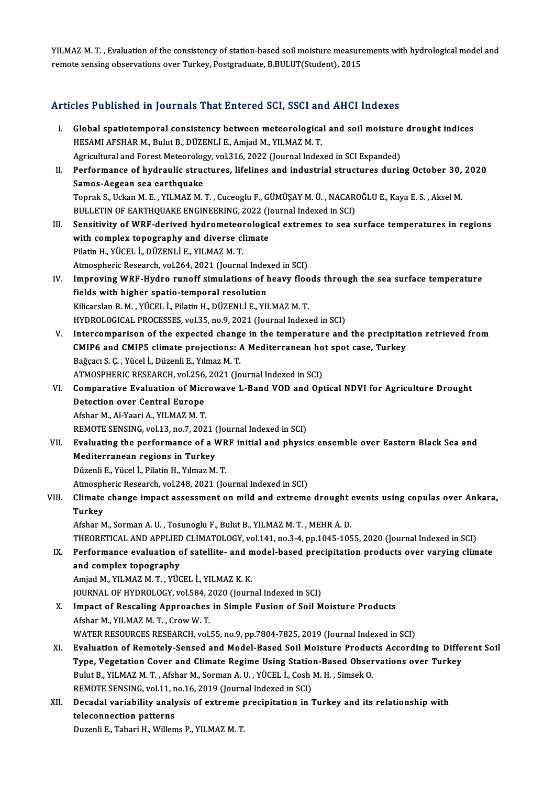YILMAZ M. T. , Evaluation of the consistency of station-based soil moisture measurements with hydrological model and<br>remate sensing observations even Turkey, Postanoduste, P.PIII UT(Student), 2015 YILMAZ M. T. , Evaluation of the consistency of station-based soil moisture measure<br>remote sensing observations over Turkey, Postgraduate, B.BULUT(Student), 2015

# remote sensing observations over Turkey, Postgraduate, B.BULUT(Student), 2015<br>Articles Published in Journals That Entered SCI, SSCI and AHCI Indexes

- The Published in Journals That Entered SCI, SSCI and AHCI Indexes<br>I. Global spatiotemporal consistency between meteorological and soil moisture drought indices<br>HESAM AESHAR M. Pulut R. DÜZENLLE, Amiad M. VILMAZ M.T. HESAMI AFSHAR M., Bulut B., DÜZENLİ E., Amjad M., YILMAZ M. T.<br>HESAMI AFSHAR M., Bulut B., DÜZENLİ E., Amjad M., YILMAZ M. T.<br>Agricultural and Earest Meteorologu vel 216, 2022 (Journal Indon Global spatiotemporal consistency between meteorological and soil moisture<br>HESAMI AFSHAR M., Bulut B., DÜZENLİ E., Amjad M., YILMAZ M. T.<br>Agricultural and Forest Meteorology, vol.316, 2022 (Journal Indexed in SCI Expanded) Agricultural and Forest Meteorology, vol.316, 2022 (Journal Indexed in SCI Expanded)
- HESAMI AFSHAR M., Bulut B., DÜZENLİ E., Amjad M., YILMAZ M. T.<br>Agricultural and Forest Meteorology, vol.316, 2022 (Journal Indexed in SCI Expanded)<br>II. Performance of hydraulic structures, lifelines and industrial structur Performance of hydraulic structures, lifelines and industrial structures during October 30,<br>Samos-Aegean sea earthquake<br>Toprak S., Uckan M. E. , YILMAZ M. T. , Cuceoglu F., GÜMÜŞAY M. Ü. , NACAROĞLU E., Kaya E. S. , Aksel Samos-Aegean sea earthquake<br>Toprak S., Uckan M. E. , YILMAZ M. T. , Cuceoglu F., GÜMÜŞAY M. Ü. , NACAR(<br>BULLETIN OF EARTHQUAKE ENGINEERING, 2022 (Journal Indexed in SCI)<br>Sensitivity of WBE donived bydromateorelogisel extre Toprak S., Uckan M. E. , YILMAZ M. T. , Cuceoglu F., GÜMÜŞAY M. Ü. , NACAROĞLU E., Kaya E. S. , Aksel M.<br>BULLETIN OF EARTHQUAKE ENGINEERING, 2022 (Journal Indexed in SCI)<br>III. Sensitivity of WRF-derived hydrometeorological
- BULLETIN OF EARTHQUAKE ENGINEERING, 2022 (Journal Indexed in SCI)<br>Sensitivity of WRF-derived hydrometeorological extremes to sea s<br>with complex topography and diverse climate<br>Pilatin H., YÜCEL İ., DÜZENLİ E., YILMAZ M. T. Sensitivity of WRF-derived hydrometeor<br>with complex topography and diverse cl<br>Pilatin H., YÜCEL İ., DÜZENLİ E., YILMAZ M. T.<br>Atmospheris Bessensh vel 264, 2021 (Jaurra Atmospheric Research, vol.264, 2021 (Journal Indexed in SCI) Pilatin H., YÜCEL İ., DÜZENLİ E., YILMAZ M. T.<br>Atmospheric Research, vol.264, 2021 (Journal Indexed in SCI)<br>IV. Improving WRF-Hydro runoff simulations of heavy floods through the sea surface temperature<br>fields with higher
- Atmospheric Research, vol.264, 2021 (Journal Index<br>Improving WRF-Hydro runoff simulations of h<br>fields with higher spatio-temporal resolution<br>Wikenslap B.M., WiCEL L. Bilotin H. DÜZENLLE, VU Improving WRF-Hydro runoff simulations of heavy floo<br>fields with higher spatio-temporal resolution<br>Kilicarslan B.M., YÜCEL İ., Pilatin H., DÜZENLİ E., YILMAZ M.T.<br>HYDROLOCICAL PROCESSES val 35. no 9.2021 (Jaurnal Indav fields with higher spatio-temporal resolution<br>Kilicarslan B. M. , YÜCEL İ., Pilatin H., DÜZENLİ E., YILMAZ M. T.<br>HYDROLOGICAL PROCESSES, vol.35, no.9, 2021 (Journal Indexed in SCI) Kilicarslan B. M. , YÜCEL İ., Pilatin H., DÜZENLİ E., YILMAZ M. T.<br>HYDROLOGICAL PROCESSES, vol.35, no.9, 2021 (Journal Indexed in SCI)<br>V. Intercomparison of the expected change in the temperature and the precipitation retr
- HYDROLOGICAL PROCESSES, vol.35, no.9, 2021 (Journal Indexed in SCI)<br>Intercomparison of the expected change in the temperature and the precipitat<br>CMIP6 and CMIP5 climate projections: A Mediterranean hot spot case, Turkey<br>Pa Intercomparison of the expected chang<br>CMIP6 and CMIP5 climate projections: *A*<br>Bağçacı S. Ç. , Yücel İ., Düzenli E., Yılmaz M. T.<br>ATMOSPHEPIC PESEARCH vol 256-2021 (Jo CMIP6 and CMIP5 climate projections: A Mediterranean ho<br>Bağçacı S. Ç. , Yücel İ., Düzenli E., Yılmaz M. T.<br>ATMOSPHERIC RESEARCH, vol.256, 2021 (Journal Indexed in SCI)<br>Comparative Evaluation of Misrowaye J. Band VOD and On Bağçacı S. Ç. , Yücel İ., Düzenli E., Yılmaz M. T.<br>ATMOSPHERIC RESEARCH, vol.256, 2021 (Journal Indexed in SCI)<br>VI. Comparative Evaluation of Microwave L-Band VOD and Optical NDVI for Agriculture Drought<br>Detection over
- ATMOSPHERIC RESEARCH, vol.256,<br>Comparative Evaluation of Mich<br>Detection over Central Europe Comparative Evaluation of Micr<br>Detection over Central Europe<br>Afshar M., Al-Yaari A., YILMAZ M. T.<br>PEMOTE SENSINC, vol.12, 20.7, 202 Detection over Central Europe<br>Afshar M., Al-Yaari A., YILMAZ M. T.<br>REMOTE SENSING, vol.13, no.7, 2021 (Journal Indexed in SCI) Afshar M., Al-Yaari A., YILMAZ M. T.<br>REMOTE SENSING, vol.13, no.7, 2021 (Journal Indexed in SCI)<br>VII. Evaluating the performance of a WRF initial and physics ensemble over Eastern Black Sea and<br>Mediterranean regions in
- REMOTE SENSING, vol.13, no.7, 2021 (<br>Evaluating the performance of a V<br>Mediterranean regions in Turkey<br>Dürenli E. Vüsel İ. Biletin H. Vılmaz M Evaluating the performance of a WR<br>Mediterranean regions in Turkey<br>Düzenli E., Yücel İ., Pilatin H., Yılmaz M.T.<br>Atmospheris Bessansh vel 248, 2021 (Jo

Mediterranean regions in Turkey<br>Düzenli E., Yücel İ., Pilatin H., Yılmaz M. T.<br>Atmospheric Research, vol.248, 2021 (Journal Indexed in SCI)<br>Climate ebange impest esessement en mild and extreme

# Düzenli E., Yücel İ., Pilatin H., Yılmaz M. T.<br>Atmospheric Research, vol.248, 2021 (Journal Indexed in SCI)<br>VIII. Climate change impact assessment on mild and extreme drought events using copulas over Ankara,<br>Turkov Atmosph<br>Climate<br>Turkey Climate change impact assessment on mild and extreme drought (<br>Turkey<br>Afshar M., Sorman A. U. , Tosunoglu F., Bulut B., YILMAZ M. T. , MEHR A. D.<br>THEOPETICAL AND APPLIED CLIMATOLOCY, vol.141, po 3.4, pp.1045-105

Turkey<br>Afshar M., Sorman A. U. , Tosunoglu F., Bulut B., YILMAZ M. T. , MEHR A. D.<br>THEORETICAL AND APPLIED CLIMATOLOGY, vol.141, no.3-4, pp.1045-1055, 2020 (Journal Indexed in SCI)

### IX. Performance evaluation of satellite- and model-based precipitation products over varying climate and complex topography and complex topography<br>Amjad M., YILMAZ M. T. , YÜCEL İ., YILMAZ K. K.<br>JOURNAL OF HYDROLOGY, vol.584, 2020 (Journal Indexed in SCI)<br>Impact of Pessaling Annreaches in Simple Eusian of Sail M

Amjad M., YILMAZ M. T., YÜCEL İ., YILMAZ K. K.

## X. Impact of Rescaling Approaches in Simple Fusion of Soil Moisture Products Afshar M., YILMAZ M. T., Crow W. T. JOURNAL OF HYDROLOGY, vol.584, 2<br>Impact of Rescaling Approaches<br>Afshar M., YILMAZ M. T. , Crow W. T.<br>WATED PESOURCES PESEARCH .vol.

WATER RESOURCES RESEARCH, vol.55, no.9, pp.7804-7825, 2019 (Journal Indexed in SCI)

- Afshar M., YILMAZ M. T. , Crow W. T.<br>WATER RESOURCES RESEARCH, vol.55, no.9, pp.7804-7825, 2019 (Journal Indexed in SCI)<br>XI. Evaluation of Remotely-Sensed and Model-Based Soil Moisture Products According to Different Soil<br> WATER RESOURCES RESEARCH, vol.55, no.9, pp.7804-7825, 2019 (Journal Indexed in SCI)<br>Evaluation of Remotely-Sensed and Model-Based Soil Moisture Products According to Diffe<br>Type, Vegetation Cover and Climate Regime Using St Evaluation of Remotely-Sensed and Model-Based Soil Moisture Produc<br>Type, Vegetation Cover and Climate Regime Using Station-Based Obser<br>Bulut B., YILMAZ M. T. , Afshar M., Sorman A. U. , YÜCEL İ., Cosh M. H. , Simsek O.<br>REM Type, Vegetation Cover and Climate Regime Using Station-Based Observations over Turkey<br>Bulut B., YILMAZ M. T., Afshar M., Sorman A. U., YÜCEL İ., Cosh M. H., Simsek O. Bulut B., YILMAZ M. T. , Afshar M., Sorman A. U. , YÜCEL İ., Cosh M. H. , Simsek O.<br>REMOTE SENSING, vol.11, no.16, 2019 (Journal Indexed in SCI)<br>XII. Decadal variability analysis of extreme precipitation in Turkey and its
- REMOTE SENSING, vol.11, no.16, 2019 (Journal Indexed in SCI)<br>Decadal variability analysis of extreme precipitation in<br>teleconnection patterns<br>Duzenli E., Tabari H., Willems P., YILMAZ M. T. Decadal variability analysis of extreme <sub>l</sub><br>teleconnection patterns<br>Duzenli E., Tabari H., Willems P., YILMAZ M. T.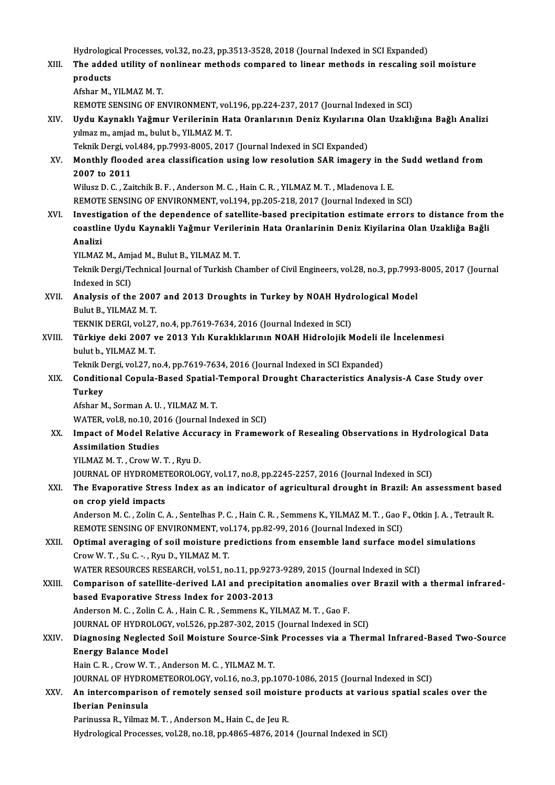Hydrological Processes, vol.32, no.23, pp.3513-3528, 2018 (Journal Indexed in SCI Expanded)<br>The added utility of poplineer methods companed to linear methods in rescaling as

XIII. The added utility of nonlinear methods compared to linear methods in rescaling soil moisture<br>products Hydrologie<br>The adde<br>products<br>Afshan M Afshar M., YILMAZ M.T. REMOTE SENSING OF ENVIRONMENT, vol.196, pp.224-237, 2017 (Journal Indexed in SCI) Afshar M., YILMAZ M. T.<br>REMOTE SENSING OF ENVIRONMENT, vol.196, pp.224-237, 2017 (Journal Indexed in SCI)<br>XIV. Uydu Kaynaklı Yağmur Verilerinin Hata Oranlarının Deniz Kıyılarına Olan Uzaklığına Bağlı Analizi yılmaz m., amjad m., bulut b., YILMAZM.T. Uydu Kaynaklı Yağmur Verilerinin Hata Oranlarının Deniz Kıyılarına (<br>yılmaz m., amjad m., bulut b., YILMAZ M. T.<br>Teknik Dergi, vol.484, pp.7993-8005, 2017 (Journal Indexed in SCI Expanded)<br>Monthly flooded area elessifisati

# yılmaz m., amjad m., bulut b., YILMAZ M. T.<br>Teknik Dergi, vol.484, pp.7993-8005, 2017 (Journal Indexed in SCI Expanded)<br>XV. Monthly flooded area classification using low resolution SAR imagery in the Sudd wetland from<br> Teknik Dergi, vol.484, pp.7993-8005, 2017 (Journal Indexed in SCI Expanded)<br>Monthly flooded area classification using low resolution SAR imagery in the<br>2007 to 2011<br>Wilusz D. C. , Zaitchik B. F. , Anderson M. C. , Hain C. Monthly flooded area classification using low resolution SAR imagery in the<br>2007 to 2011<br>Wilusz D. C. , Zaitchik B. F. , Anderson M. C. , Hain C. R. , YILMAZ M. T. , Mladenova I. E.<br>PEMOTE SENSING OF ENVIRONMENT vol.194, p

REMOTE SENSING OF ENVIRONMENT, vol.194, pp.205-218, 2017 (Journal Indexed in SCI)

XVI. Investigation of the dependence of satellite-based precipitation estimate errors to distance from the REMOTE SENSING OF ENVIRONMENT, vol.194, pp.205-218, 2017 (Journal Indexed in SCI)<br>Investigation of the dependence of satellite-based precipitation estimate errors to distance from<br>coastline Uydu Kaynakli Yaǧmur Verilerinin Investi<br>coastlii<br>Analizi<br><sup>VII MA7</sup> coastline Uydu Kaynakli Yağmur Verile<mark>ı</mark><br>Analizi<br>YILMAZ M., Amjad M., Bulut B., YILMAZ M. T.<br>Telmik Dergi (Technisel Jeurnal of Turkish Cl

YILMAZ M., Amjad M., Bulut B., YILMAZ M.T.

Analizi<br>YlLMAZ M., Amjad M., Bulut B., YlLMAZ M. T.<br>Teknik Dergi/Technical Journal of Turkish Chamber of Civil Engineers, vol.28, no.3, pp.7993-8005, 2017 (Journal<br>Indexed in SCI) Teknik Dergi/Technical Journal of Turkish Chamber of Civil Engineers, vol.28, no.3, pp.7993<br>Indexed in SCI)<br>XVII. Analysis of the 2007 and 2013 Droughts in Turkey by NOAH Hydrological Model<br>Rulyt B. VII MAZM T

Indexed in SCI)<br>**Analysis of the 2007**<br>Bulut B., YILMAZ M. T.<br>TEKNIK DEPCL vel 27 Analysis of the 2007 and 2013 Droughts in Turkey by NOAH Hydi<br>Bulut B., YILMAZ M. T.<br>TEKNIK DERGI, vol.27, no.4, pp.7619-7634, 2016 (Journal Indexed in SCI)<br>Türkiye deki 2007 ve 2013 Vılı Kuraklıklarının NOAH Hidrolojik M

Bulut B., YILMAZ M. T.<br>TEKNIK DERGI, vol.27, no.4, pp.7619-7634, 2016 (Journal Indexed in SCI)<br>XVIII. Türkiye deki 2007 ve 2013 Yılı Kuraklıklarının NOAH Hidrolojik Modeli ile İncelenmesi<br>hulut b. XII MAZ M. T. TEKNIK DERGI, vol.27, no.4, pp.7619-7634, 2016 (Journal Indexed in SCI)<br>Türkiye deki 2007 ve 2013 Yılı Kuraklıklarının NOAH Hidrolojik N<br>bulut b., YILMAZ M. T. Türkiye deki 2007 ve 2013 Yılı Kuraklıklarının NOAH Hidrolojik Modeli il<br>bulut b., YILMAZ M. T.<br>Teknik Dergi, vol.27, no.4, pp.7619-7634, 2016 (Journal Indexed in SCI Expanded)<br>Conditional Conula Based Spatial Temperal Dro

# bulut b., YILMAZ M. T.<br>Teknik Dergi, vol.27, no.4, pp.7619-7634, 2016 (Journal Indexed in SCI Expanded)<br>XIX. Conditional Copula-Based Spatial-Temporal Drought Characteristics Analysis-A Case Study over<br>Turkey Teknik Dergi, vol.27, no.4, pp.7619-7634, 2016 (Journal Indexed in SCI Expanded)<br>Conditional Copula-Based Spatial-Temporal Drought Characteristics Ana<br>Turkey<br>Afshar M., Sorman A. U. , YILMAZ M. T. Conditional Copula-Based Spatial-<br>Turkey<br>Afshar M., Sorman A.U. , YILMAZ M. T.<br>WATER .vel 8, no.10, 2016 (Journal In

WATER, vol.8, no.10, 2016 (Journal Indexed in SCI)

## Afshar M., Sorman A. U. , YILMAZ M. T.<br>WATER, vol.8, no.10, 2016 (Journal Indexed in SCI)<br>XX. Impact of Model Relative Accuracy in Framework of Resealing Observations in Hydrological Data<br>Assimilation Studies WATER, vol.8, no.10, 20<br>Impact of Model Rela<br>Assimilation Studies<br>VU MAZ M T - Crow W Impact of Model Relative Accu<br>Assimilation Studies<br>YILMAZ M. T. , Crow W. T. , Ryu D.<br>JOUPNAL OF HYDROMETEOROLOG Assimilation Studies<br>YILMAZ M. T. , Crow W. T. , Ryu D.<br>JOURNAL OF HYDROMETEOROLOGY, vol.17, no.8, pp.2245-2257, 2016 (Journal Indexed in SCI)<br>The Evenerative Stress Index as an indisater of asrigultural drought in Brazil:

# YILMAZ M. T. , Crow W. T. , Ryu D.<br>JOURNAL OF HYDROMETEOROLOGY, vol.17, no.8, pp.2245-2257, 2016 (Journal Indexed in SCI)<br>XXI. The Evaporative Stress Index as an indicator of agricultural drought in Brazil: An assessme **JOURNAL OF HYDROMET**<br>The Evaporative Stres<br>on crop yield impacts<br>Anderson M.C. Zalin C. The Evaporative Stress Index as an indicator of agricultural drought in Brazil: An assessment base<br>on crop yield impacts<br>Anderson M. C. , Zolin C. A. , Sentelhas P. C. , Hain C. R. , Semmens K., YILMAZ M. T. , Gao F., Otki

on crop yield impacts<br>Anderson M. C. , Zolin C. A. , Sentelhas P. C. , Hain C. R. , Semmens K., YILMAZ M. T. , Gao F., Otkin J. A. , Tetrault R.<br>REMOTE SENSING OF ENVIRONMENT, vol.174, pp.82-99, 2016 (Journal Indexed in SC Anderson M. C. , Zolin C. A. , Sentelhas P. C. , Hain C. R. , Semmens K., YILMAZ M. T. , Gao F., Otkin J. A. , Tetrau<br>REMOTE SENSING OF ENVIRONMENT, vol.174, pp.82-99, 2016 (Journal Indexed in SCI)<br>XXII. Optimal averaging

Crow W.T., Su C. -., Ryu D., YILMAZ M.T.<br>WATER RESOURCES RESEARCH, vol.51, no.11, pp.9273-9289, 2015 (Journal Indexed in SCI) Optimal averaging of soil moisture predictions from ensemble land surface model<br>Crow W. T., Su C. -, Ryu D., YILMAZ M. T.<br>WATER RESOURCES RESEARCH, vol.51, no.11, pp.9273-9289, 2015 (Journal Indexed in SCI)<br>Comparison of s

## Crow W. T. , Su C. - , Ryu D., YILMAZ M. T.<br>WATER RESOURCES RESEARCH, vol.51, no.11, pp.9273-9289, 2015 (Journal Indexed in SCI)<br>XXIII. Comparison of satellite-derived LAI and precipitation anomalies over Brazil with a the based Evaporative Stress Index for 2003-2013<br>Anderson M. C., Zolin C. A., Hain C. R., Semmens K., YILMAZ M. T., Gao F. Comparison of satellite-derived LAI and precipitation anomalies<br>based Evaporative Stress Index for 2003-2013<br>Anderson M. C. , Zolin C. A. , Hain C. R. , Semmens K., YILMAZ M. T. , Gao F.<br>JOUPMAL OF HYDROLOCY vel 526, np 29 based Evaporative Stress Index for 2003-2013<br>Anderson M. C. , Zolin C. A. , Hain C. R. , Semmens K., YILMAZ M. T. , Gao F.<br>JOURNAL OF HYDROLOGY, vol.526, pp.287-302, 2015 (Journal Indexed in SCI)<br>Diagnosing Neglected Soil

### Anderson M. C. , Zolin C. A. , Hain C. R. , Semmens K., YILMAZ M. T. , Gao F.<br>JOURNAL OF HYDROLOGY, vol.526, pp.287-302, 2015 (Journal Indexed in SCI)<br>XXIV. Diagnosing Neglected Soil Moisture Source-Sink Processes via **JOURNAL OF HYDROLOGY**<br>Diagnosing Neglected<br>Energy Balance Model<br>Hain C. B., Crow W. T., A. Diagnosing Neglected Soil Moisture Source-Sinl<br>Energy Balance Model<br>Hain C. R. , Crow W. T. , Anderson M. C. , YILMAZ M. T.<br>JOUPMAL OF HYDROMETEOROLOCY .vol.16, no.2, nn.1 Energy Balance Model<br>Hain C. R. , Crow W. T. , Anderson M. C. , YILMAZ M. T.<br>JOURNAL OF HYDROMETEOROLOGY, vol.16, no.3, pp.1070-1086, 2015 (Journal Indexed in SCI)

# Hain C. R. , Crow W. T. , Anderson M. C. , YILMAZ M. T.<br>JOURNAL OF HYDROMETEOROLOGY, vol.16, no.3, pp.1070-1086, 2015 (Journal Indexed in SCI)<br>XXV. An intercomparison of remotely sensed soil moisture products at variou **JOURNAL OF HYDRO<br>An intercomparisc<br>Iberian Peninsula**<br>Perinusse P. Vilmer An intercomparison of remotely sensed soil moist<mark><br>Iberian Peninsula</mark><br>Parinussa R., Yilmaz M.T., Anderson M., Hain C., de Jeu R.<br>Hydnologiael Processes vol 28 no 19 nn 4865-4976-201

Iberian Peninsula<br>Parinussa R., Yilmaz M. T. , Anderson M., Hain C., de Jeu R.<br>Hydrological Processes, vol.28, no.18, pp.4865-4876, 2014 (Journal Indexed in SCI)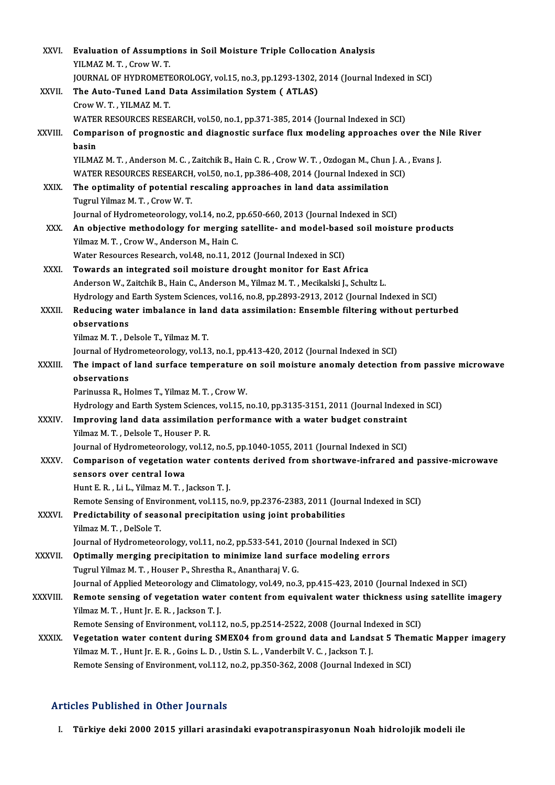| XXVI.        | Evaluation of Assumptions in Soil Moisture Triple Collocation Analysis                                  |
|--------------|---------------------------------------------------------------------------------------------------------|
|              | YILMAZ M.T., Crow W.T.                                                                                  |
|              | JOURNAL OF HYDROMETEOROLOGY, vol.15, no.3, pp.1293-1302, 2014 (Journal Indexed in SCI)                  |
| XXVII.       | The Auto-Tuned Land Data Assimilation System (ATLAS)                                                    |
|              | Crow W. T., YILMAZ M. T.                                                                                |
|              | WATER RESOURCES RESEARCH, vol.50, no.1, pp.371-385, 2014 (Journal Indexed in SCI)                       |
| XXVIII.      | Comparison of prognostic and diagnostic surface flux modeling approaches over the Nile River<br>basin   |
|              | YILMAZ M. T., Anderson M. C., Zaitchik B., Hain C. R., Crow W. T., Ozdogan M., Chun J. A., Evans J.     |
|              | WATER RESOURCES RESEARCH, vol.50, no.1, pp.386-408, 2014 (Journal Indexed in SCI)                       |
| XXIX.        | The optimality of potential rescaling approaches in land data assimilation                              |
|              | Tugrul Yilmaz M. T., Crow W. T.                                                                         |
|              | Journal of Hydrometeorology, vol.14, no.2, pp.650-660, 2013 (Journal Indexed in SCI)                    |
| XXX.         | An objective methodology for merging satellite- and model-based soil moisture products                  |
|              | Yilmaz M. T., Crow W., Anderson M., Hain C.                                                             |
|              | Water Resources Research, vol.48, no.11, 2012 (Journal Indexed in SCI)                                  |
| XXXI.        | Towards an integrated soil moisture drought monitor for East Africa                                     |
|              | Anderson W., Zaitchik B., Hain C., Anderson M., Yilmaz M. T., Mecikalski J., Schultz L.                 |
|              | Hydrology and Earth System Sciences, vol.16, no.8, pp.2893-2913, 2012 (Journal Indexed in SCI)          |
| XXXII.       | Reducing water imbalance in land data assimilation: Ensemble filtering without perturbed                |
|              | observations                                                                                            |
|              | Yilmaz M. T., Delsole T., Yilmaz M. T.                                                                  |
|              | Journal of Hydrometeorology, vol.13, no.1, pp.413-420, 2012 (Journal Indexed in SCI)                    |
| XXXIII.      | The impact of land surface temperature on soil moisture anomaly detection from passive microwave        |
|              | observations                                                                                            |
|              | Parinussa R., Holmes T., Yilmaz M. T., Crow W.                                                          |
|              | Hydrology and Earth System Sciences, vol.15, no.10, pp.3135-3151, 2011 (Journal Indexed in SCI)         |
| <b>XXXIV</b> | Improving land data assimilation performance with a water budget constraint                             |
|              | Yilmaz M. T. . Delsole T Houser P. R. .                                                                 |
|              | Journal of Hydrometeorology, vol.12, no.5, pp.1040-1055, 2011 (Journal Indexed in SCI)                  |
| XXXV.        | Comparison of vegetation water contents derived from shortwave-infrared and passive-microwave           |
|              | sensors over central Iowa                                                                               |
|              | Hunt E. R., Li L., Yilmaz M. T., Jackson T. J.                                                          |
|              | Remote Sensing of Environment, vol.115, no.9, pp.2376-2383, 2011 (Journal Indexed in SCI)               |
| XXXVI.       | Predictability of seasonal precipitation using joint probabilities                                      |
|              | Yilmaz M. T., DelSole T.                                                                                |
|              | Journal of Hydrometeorology, vol.11, no.2, pp.533-541, 2010 (Journal Indexed in SCI)                    |
| XXXVII.      | Optimally merging precipitation to minimize land surface modeling errors                                |
|              | Tugrul Yilmaz M. T., Houser P., Shrestha R., Anantharaj V. G.                                           |
|              | Journal of Applied Meteorology and Climatology, vol.49, no.3, pp.415-423, 2010 (Journal Indexed in SCI) |
| XXXVIII.     | Remote sensing of vegetation water content from equivalent water thickness using satellite imagery      |
|              | Yilmaz M. T., Hunt Jr. E. R., Jackson T. J.                                                             |
|              | Remote Sensing of Environment, vol.112, no.5, pp.2514-2522, 2008 (Journal Indexed in SCI)               |
| <b>XXXIX</b> | Vegetation water content during SMEX04 from ground data and Landsat 5 Thematic Mapper imagery           |
|              | Yilmaz M. T., Hunt Jr. E. R., Goins L. D., Ustin S. L., Vanderbilt V. C., Jackson T. J.                 |
|              | Remote Sensing of Environment, vol.112, no.2, pp.350-362, 2008 (Journal Indexed in SCI)                 |
|              |                                                                                                         |

#### Articles Published in Other Journals

I. Türkiye deki 2000 2015 yillari arasindaki evapotranspirasyonun Noah hidrolojik modeli ile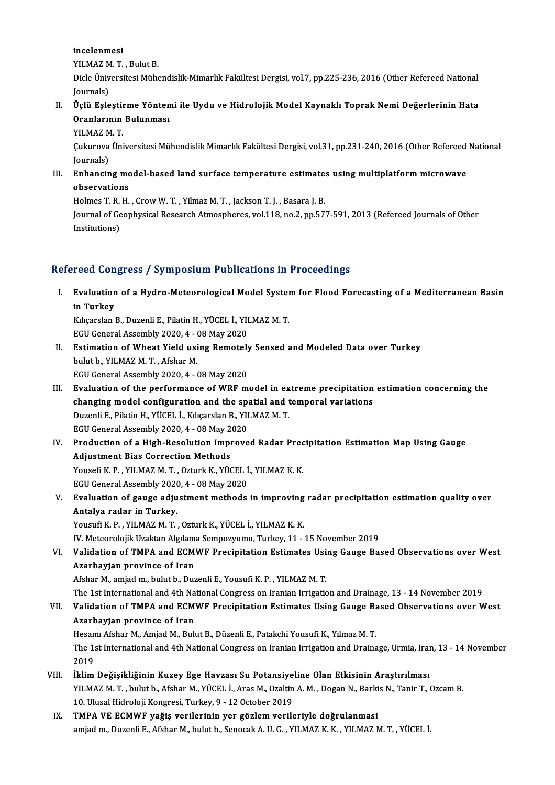#### incelenmesi

incelenmesi<br>YILMAZ M. T. , Bulut B.<br>Diele Üniversitesi Müha

Dicle Üniversitesi Mühendislik-Mimarlık Fakültesi Dergisi, vol.7, pp.225-236, 2016 (Other Refereed National Iournals) YILMAZ M<br>Dicle Üniv<br>Journals)<br>Üslü Esle Dicle Üniversitesi Mühendislik-Mimarlık Fakültesi Dergisi, vol.7, pp.225-236, 2016 (Other Refereed National Journals)<br>Journals)<br>II. Üçlü Eşleştirme Yöntemi ile Uydu ve Hidrolojik Model Kaynaklı Toprak Nemi Değerlerinin Hat

Journals)<br>Üçlü Eşleştirme Yönten<br>Oranlarının Bulunması<br>YU MAZ M T Üçlü Eşleştir<br>Oranlarının<br>YILMAZ M.T.<br>Culureve Üni

YILMAZ M.T.

Oranlarının Bulunması<br>YILMAZ M. T.<br>Çukurova Üniversitesi Mühendislik Mimarlık Fakültesi Dergisi, vol.31, pp.231-240, 2016 (Other Refereed National<br>Journals) Gukurova Üniversitesi Mühendislik Mimarlık Fakültesi Dergisi, vol.31, pp.231-240, 2016 (Other Refereed<br>Journals)<br>III. Enhancing model-based land surface temperature estimates using multiplatform microwave<br>observations

Journals)<br>Enhancing mo<br>observations<br>Holmes T B H Enhancing model-based land surface temperature estimate:<br>observations<br>Holmes T. R. H. , Crow W. T. , Yilmaz M. T. , Jackson T. J. , Basara J. B.<br>Journal of Coophysical Basarah Atmospheres, yol 119, no 2, np 57.

observations<br>Holmes T. R. H. , Crow W. T. , Yilmaz M. T. , Jackson T. J. , Basara J. B.<br>Journal of Geophysical Research Atmospheres, vol.118, no.2, pp.577-591, 2013 (Refereed Journals of Other<br>Institutions) Holmes T. R.<br>Journal of Ge<br>Institutions)

# Institutions)<br>Refereed Congress / Symposium Publications in Proceedings

efereed Congress / Symposium Publications in Proceedings<br>I. Evaluation of a Hydro-Meteorological Model System for Flood Forecasting of a Mediterranean Basin<br>in Turkey reed con<br>Evaluation<br>in Turkey<br>Kikorskal Evaluation of a Hydro-Meteorological Model System<br>in Turkey<br>Kılıçarslan B., Duzenli E., Pilatin H., YÜCEL İ., YILMAZ M. T.<br>ECU Ceneral Assembly 2020 4 - 08 May 2020

in Turkey<br>Kılıçarslan B., Duzenli E., Pilatin H., YÜCEL İ., YILMAZ M. T.<br>EGU General Assembly 2020, 4 - 08 May 2020

- Kılıçarslan B., Duzenli E., Pilatin H., YÜCEL İ., YILMAZ M. T.<br>EGU General Assembly 2020, 4 08 May 2020<br>II. Estimation of Wheat Yield using Remotely Sensed and Modeled Data over Turkey<br>bulut b. YILMAZ M. T. Afshar M. EGU General Assembly 2020, 4 - (<br>Estimation of Wheat Yield usi<br>bulut b., YILMAZ M.T., Afshar M. Estimation of Wheat Yield using Remotely<br>bulut b., YILMAZ M. T. , Afshar M.<br>EGU General Assembly 2020, 4 - 08 May 2020<br>Evaluation of the performance of WPE m bulut b., YILMAZ M. T. , Afshar M.<br>EGU General Assembly 2020, 4 - 08 May 2020<br>III. Evaluation of the performance of WRF model in extreme precipitation estimation concerning the
- EGU General Assembly 2020, 4 08 May 2020<br>Evaluation of the performance of WRF model in extreme precipitation<br>changing model configuration and the spatial and temporal variations<br>Purapli E. Bilatin H. Vilcet i. Whearelap Evaluation of the performance of WRF model in ex<br>changing model configuration and the spatial and t<br>Duzenli E., Pilatin H., YÜCEL İ., Kılıçarslan B., YILMAZ M. T.<br>ECU Canaral Assembly 2020 4 - 08 May 2020 changing model configuration and the spa<br>Duzenli E., Pilatin H., YÜCEL İ., Kılıçarslan B., YII<br>EGU General Assembly 2020, 4 - 08 May 2020<br>Production of a High Bosolution Improve Duzenli E., Pilatin H., YÜCEL İ., Kılıçarslan B., YILMAZ M. T.<br>EGU General Assembly 2020, 4 - 08 May 2020<br>IV. Production of a High-Resolution Improved Radar Precipitation Estimation Map Using Gauge
- EGU General Assembly 2020, 4 08 May 2<br>Production of a High-Resolution Imple<br>Adjustment Bias Correction Methods<br>Yousefi K. B., XII MAZ M.T., Ortual: K., XIIC Production of a High-Resolution Improved Radar Prec<br>Adjustment Bias Correction Methods<br>Yousefi K. P. , YILMAZ M. T. , Ozturk K., YÜCEL İ., YILMAZ K. K.<br>ECU Canaral Assembly 2020 4 - 09 May 2020 Adjustment Bias Correction Methods<br>Yousefi K. P. , YILMAZ M. T. , Ozturk K., YÜCEL İ., YILMAZ K. K.<br>EGU General Assembly 2020, 4 - 08 May 2020
- Yousefi K. P. , YILMAZ M. T. , Ozturk K., YÜCEL İ., YILMAZ K. K.<br>EGU General Assembly 2020, 4 08 May 2020<br>V. Evaluation of gauge adjustment methods in improving radar precipitation estimation quality over<br>Antalya radar i EGU General Assembly 2020<br>Evaluation of gauge adju<br>Antalya radar in Turkey.<br>Yousufi K.P., VII MAZ M.T. Evaluation of gauge adjustment methods in improving<br>Antalya radar in Turkey.<br>Yousufi K. P. , YILMAZ M. T. , Ozturk K., YÜCEL İ., YILMAZ K. K.<br>W. Meteorolojik Uzeltan Alglama Semnezyumu, Turkey, 11 Antalya radar in Turkey.<br>IV.Meteorolojik Uzaktan Algılama Sempozyumu, Turkey, 11 - 15 November 2019<br>IV. Meteorolojik Uzaktan Algılama Sempozyumu, Turkey, 11 - 15 November 2019

#### VI. Validation of TMPA and ECMWF Precipitation Estimates Using Gauge Based Observations overWest Azarbayjan province of Iran

Afshar M., amjad m., bulut b., Duzenli E., Yousufi K. P., YILMAZ M. T.

The 1st International and 4th National Congress on Iranian Irrigation and Drainage, 13 - 14 November 2019

# Afshar M., amjad m., bulut b., Duzenli E., Yousufi K. P. , YILMAZ M. T.<br>The 1st International and 4th National Congress on Iranian Irrigation and Drainage, 13 - 14 November 2019<br>VII. Validation of TMPA and ECMWF Precipitat The 1st International and 4th Na<br>Validation of TMPA and ECM<br>Azarbayjan province of Iran<br>Hesam Afshar M. Amiad M. Bub Validation of TMPA and ECMWF Precipitation Estimates Using Gauge Ba<br>Azarbayjan province of Iran<br>Hesamı Afshar M., Amjad M., Bulut B., Düzenli E., Patakchi Yousufi K., Yılmaz M. T.<br>The 1st International and 4th National Con

Azarbayjan province of Iran<br>Hesamı Afshar M., Amjad M., Bulut B., Düzenli E., Patakchi Yousufi K., Yılmaz M. T.<br>The 1st International and 4th National Congress on Iranian Irrigation and Drainage, Urmia, Iran, 13 - 14 Novem Hesan<br>The 1:<br>2019<br>iklim The 1st International and 4th National Congress on Iranian Irrigation and Drainage, Urmia, Iran<br>2019<br>VIII. İklim Değişikliğinin Kuzey Ege Havzası Su Potansiyeline Olan Etkisinin Araştırılması<br>VII MAZM T. bulut b. Afebor M.

- 2019<br>İklim Değişikliğinin Kuzey Ege Havzası Su Potansiyeline Olan Etkisinin Araştırılması<br>YILMAZ M.T.,bulut b., Afshar M., YÜCEL İ., Aras M., Ozaltin A. M. , Dogan N., Barkis N., Tanir T., Ozcam B.<br>10 Ulugal Hidrolaji Kong İklim Değişikliğinin Kuzey Ege Havzası Su Potansiye<br>YILMAZ M. T. , bulut b., Afshar M., YÜCEL İ., Aras M., Ozaltin<br>10. Ulusal Hidroloji Kongresi, Turkey, 9 - 12 October 2019<br>TMBA VE ECMWE veğiş verilerinin ver görlem veril YILMAZ M. T., bulut b., Afshar M., YÜCEL İ., Aras M., Ozaltin A. M., Dogan N., Barki<br>10. Ulusal Hidroloji Kongresi, Turkey, 9 - 12 October 2019<br>IX. TMPA VE ECMWF yağiş verilerinin yer gözlem verileriyle doğrulanmasi<br>2007 -
- 10. Ulusal Hidroloji Kongresi, Turkey, 9 12 October 2019<br>IX. TMPA VE ECMWF yağiş verilerinin yer gözlem verileriyle doğrulanmasi<br>amjad m., Duzenli E., Afshar M., bulut b., Senocak A. U. G. , YILMAZ K. K. , YILMAZ M.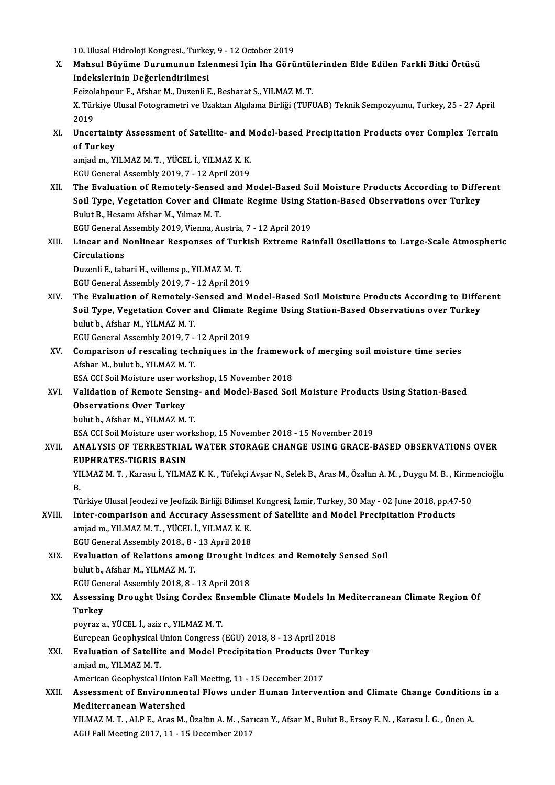10. Ulusal Hidroloji Kongresi., Turkey, 9 - 12 October 2019

10. Ulusal Hidroloji Kongresi., Turkey, 9 - 12 October 2019<br>X. Mahsul Büyüme Durumunun Izlenmesi Için Iha Görüntülerinden Elde Edilen Farkli Bitki Örtüsü<br>Indekslerinin Değerlendirilmesi 10. Ulusal Hidroloji Kongresi, Turke<br>Mahsul Büyüme Durumunun Izle<br>Indekslerinin Değerlendirilmesi<br>Feirelehneur E. Afeber M. Durenli E Mahsul Büyüme Durumunun Izlenmesi Için Iha Görüntül<br>Indekslerinin Değerlendirilmesi<br>Feizolahpour F., Afshar M., Duzenli E., Besharat S., YILMAZ M. T.<br>Y. Türkiye Husel Estegrametri ve Halten Algılma Birliği (TUP)

Feizolahpour F., Afshar M., Duzenli E., Besharat S., YILMAZ M.T.

Indekslerinin Değerlendirilmesi<br>Feizolahpour F., Afshar M., Duzenli E., Besharat S., YILMAZ M. T.<br>X. Türkiye Ulusal Fotogrametri ve Uzaktan Algılama Birliği (TUFUAB) Teknik Sempozyumu, Turkey, 25 - 27 April<br>2019 X. Türkiye Ulusal Fotogrametri ve Uzaktan Algılama Birliği (TUFUAB) Teknik Sempozyumu, Turkey, 25 - 27 April<br>2019<br>XI. Uncertainty Assessment of Satellite- and Model-based Precipitation Products over Complex Terrain<br>of Turk

2019<br>Uncertaint<br>of Turkey<br>amiad m. V Uncertainty Assessment of Satellite- and N<br>of Turkey<br>amjad m., YILMAZ M. T. , YÜCEL İ., YILMAZ K. K.<br>ECU Canaral Assembly 2019, 7 , 12 Anril 2019

of Turkey<br>amjad m., YILMAZ M. T. , YÜCEL İ., YILMAZ K. K.<br>EGU General Assembly 2019, 7 - 12 April 2019

amjad m., YILMAZ M. T. , YÜCEL İ., YILMAZ K. K.<br>EGU General Assembly 2019, 7 - 12 April 2019<br>XII. The Evaluation of Remotely-Sensed and Model-Based Soil Moisture Products According to Different<br>Soil Tune, Vegetation Co EGU General Assembly 2019, 7 - 12 April 2019<br>The Evaluation of Remotely-Sensed and Model-Based Soil Moisture Products According to Diffe<br>Soil Type, Vegetation Cover and Climate Regime Using Station-Based Observations over The Evaluation of Remotely-Sensed<br>Soil Type, Vegetation Cover and Cli<br>Bulut B., Hesamı Afshar M., Yılmaz M. T.<br>ECU Coneral Assembly 2019, Vienne, Ar Soil Type, Vegetation Cover and Climate Regime Using St<br>Bulut B., Hesamı Afshar M., Yılmaz M. T.<br>EGU General Assembly 2019, Vienna, Austria, 7 - 12 April 2019<br>Linear and Nonlinear Besnanses of Turkish Extreme Bei

Bulut B., Hesamı Afshar M., Yılmaz M. T.<br>EGU General Assembly 2019, Vienna, Austria, 7 - 12 April 2019<br>XIII. Linear and Nonlinear Responses of Turkish Extreme Rainfall Oscillations to Large-Scale Atmospheric<br>Circulatio EGU General A<br>Linear and N<br>Circulations<br>Duganli E, tab Linear and Nonlinear Responses of Tur<br>Circulations<br>Duzenli E., tabari H., willems p., YILMAZ M. T.<br>ECU Canaral Assembly 2010, 7, 12 Anril 201 Circulations<br>Duzenli E., tabari H., willems p., YILMAZ M. T.<br>EGU General Assembly 2019, 7 - 12 April 2019

XIV. The Evaluation of Remotely-Sensed and Model-Based SoilMoisture Products According to Different EGU General Assembly 2019, 7 - 12 April 2019<br>The Evaluation of Remotely-Sensed and Model-Based Soil Moisture Products According to Diffe<br>Soil Type, Vegetation Cover and Climate Regime Using Station-Based Observations over The Evaluation of Remotely-9<br>Soil Type, Vegetation Cover<br>bulut b., Afshar M., YILMAZ M. T.<br>FCU Coneral Assembly 2019, 7 Soil Type, Vegetation Cover and Climate R<br>bulut b., Afshar M., YILMAZ M. T.<br>EGU General Assembly 2019, 7 - 12 April 2019<br>Comparison of ressaling techniques in the

bulut b., Afshar M., YILMAZ M. T.<br>EGU General Assembly 2019, 7 - 12 April 2019<br>XV. Comparison of rescaling techniques in the framework of merging soil moisture time series<br>Afshar M. bulut b. YU MAZ M. T. EGU General Assembly 2019, 7 -<br>Comparison of rescaling tech<br>Afshar M., bulut b., YILMAZ M. T.<br>ESA CCLSail Maisture user work Comparison of rescaling techniques in the framewo<br>Afshar M., bulut b., YILMAZ M. T.<br>ESA CCI Soil Moisture user workshop, 15 November 2018<br>Validation of Bomata Sansing, and Model Based Soi

## Afshar M., bulut b., YILMAZ M. T.<br>ESA CCI Soil Moisture user workshop, 15 November 2018<br>XVI. Validation of Remote Sensing- and Model-Based Soil Moisture Products Using Station-Based<br>Observations Over Turkey ESA CCI Soil Moisture user wo<br>Validation of Remote Sensi<br>Observations Over Turkey<br>bulut b. Afsban M. XII MAZ M. **Validation of Remote Sensing<br>Observations Over Turkey<br>bulut b., Afshar M., YILMAZ M. T.**<br>ESA CCLSail Maisture user werk Observations Over Turkey<br>bulut b., Afshar M., YILMAZ M. T.<br>ESA CCI Soil Moisture user workshop, 15 November 2018 - 15 November 2019<br>ANALYSIS OF TERRESTRIAL WATER STORACE CHANCE USING CRACE E

## bulut b., Afshar M., YILMAZ M. T.<br>ESA CCI Soil Moisture user workshop, 15 November 2018 - 15 November 2019<br>XVII. – ANALYSIS OF TERRESTRIAL WATER STORAGE CHANGE USING GRACE-BASED OBSERVATIONS OVER<br>EUPHRATES-TIGRIS BASIN ESA CCI Soil Moisture user word<br>ANALYSIS OF TERRESTRIAI<br>EUPHRATES-TIGRIS BASIN<br>VU MAZ M.T. Karaan I. VU MA ANALYSIS OF TERRESTRIAL WATER STORAGE CHANGE USING GRACE-BASED OBSERVATIONS OVER<br>EUPHRATES-TIGRIS BASIN<br>YILMAZ M. T. , Karasu İ., YILMAZ K. K. , Tüfekçi Avşar N., Selek B., Aras M., Özaltın A. M. , Duygu M. B. , Kirmencioğ

EL<br>YI<br>B. YILMAZ M. T. , Karasu İ., YILMAZ K. K. , Tüfekçi Avşar N., Selek B., Aras M., Özaltın A. M. , Duygu M. B. , Kirme<br>B.<br>Türkiye Ulusal Jeodezi ve Jeofizik Birliği Bilimsel Kongresi, İzmir, Turkey, 30 May - 02 June 2018, pp.47

B.<br>Türkiye Ulusal Jeodezi ve Jeofizik Birliği Bilimsel Kongresi, İzmir, Turkey, 30 May - 02 June 2018, pp.47<br>XVIII. Inter-comparison and Accuracy Assessment of Satellite and Model Precipitation Products Türkiye Ulusal Jeodezi ve Jeofizik Birliği Bilimse<br>Inter-comparison and Accuracy Assessme<br>amjad m., YILMAZ M. T. , YÜCEL İ., YILMAZ K. K.<br>ECU Canaral Assembly 2019, 8, . 13 Anril 2019 Inter-comparison and Accuracy Assessmer<br>Amjad m., YILMAZ M. T. , YÜCEL İ., YILMAZ K. K.<br>EGU General Assembly 2018., 8 - 13 April 2018<br>Evaluation of Palations amang Draught In amjad m., YILMAZ M. T. , YÜCEL İ., YILMAZ K. K.<br>EGU General Assembly 2018., 8 - 13 April 2018<br>XIX. Evaluation of Relations among Drought Indices and Remotely Sensed Soil<br>bulut b. Afchar M. YU MAZ M. T

- EGU General Assembly 2018., 8 -<br>**Evaluation of Relations amor**<br>bulut b., Afshar M., YILMAZ M. T.<br>FCU Ceneral Assembly 2019. 9 Evaluation of Relations among Drought In<br>bulut b., Afshar M., YILMAZ M. T.<br>EGU General Assembly 2018, 8 - 13 April 2018<br>Assessing Drought Heing Cordey Ensembl
- bulut b., Afshar M., YILMAZ M. T.<br>EGU General Assembly 2018, 8 13 April 2018<br>XX. Assessing Drought Using Cordex Ensemble Climate Models In Mediterranean Climate Region Of<br>Turkey EGU Gen<br>Assessi<br>Turkey<br>Pourez e Assessing Drought Using Cordex Er<br>Turkey<br>poyraz a., YÜCEL İ., aziz r., YILMAZ M. T.<br>European Coophysisel Union Congress ( Turkey<br>poyraz a., YÜCEL İ., aziz r., YILMAZ M. T.<br>Eurepean Geophysical Union Congress (EGU) 2018, 8 - 13 April 2018<br>Evaluation of Satallite and Model Presinitation Products Over

poyraz a., YÜCEL İ., aziz r., YILMAZ M. T.<br>Eurepean Geophysical Union Congress (EGU) 2018, 8 - 13 April 2018<br>XXI. Evaluation of Satellite and Model Precipitation Products Over Turkey<br>amied m\_YU MAZ M\_T Eurepean Geophysical I<br>**Evaluation of Satellit**<br>amjad m., YILMAZ M. T.<br>American Ceophysical I Evaluation of Satellite and Model Precipitation Products Ov<br>amjad m., YILMAZ M. T.<br>American Geophysical Union Fall Meeting, 11 - 15 December 2017<br>Assessment of Environmental Flows under Human Interver

amjad m., YILMAZ M. T.<br>American Geophysical Union Fall Meeting, 11 - 15 December 2017<br>XXII. Assessment of Environmental Flows under Human Intervention and Climate Change Conditions in a<br>Mediterranean Wetersbed American Geophysical Union F<br>Assessment of Environmen<br>Mediterranean Watershed<br><sup>VII MAZ</sup> M.T., ALBE, Aree M

Mediterranean Watershed<br>YILMAZ M. T. , ALP E., Aras M., Özaltın A. M. , Sarıcan Y., Afsar M., Bulut B., Ersoy E. N. , Karasu İ. G. , Önen A. AGU Fall Meeting 2017, 11 - 15 December 2017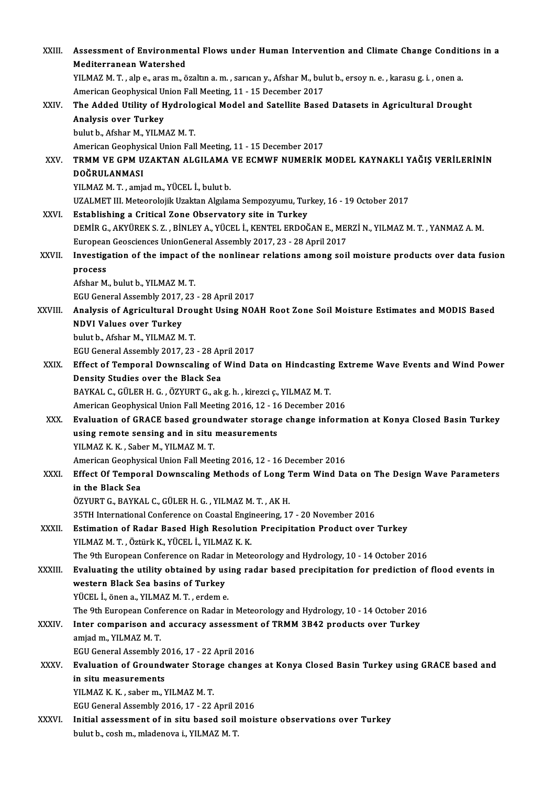| XXIII.      | Assessment of Environmental Flows under Human Intervention and Climate Change Conditions in a                     |
|-------------|-------------------------------------------------------------------------------------------------------------------|
|             | <b>Mediterranean Watershed</b>                                                                                    |
|             | YILMAZ M. T., alp e., aras m., özaltın a. m., sarıcan y., Afshar M., bulut b., ersoy n. e., karasu g. i., onen a. |
|             | American Geophysical Union Fall Meeting, 11 - 15 December 2017                                                    |
| XXIV.       | The Added Utility of Hydrological Model and Satellite Based Datasets in Agricultural Drought                      |
|             | Analysis over Turkey                                                                                              |
|             | bulut b., Afshar M., YILMAZ M.T.                                                                                  |
|             | American Geophysical Union Fall Meeting, 11 - 15 December 2017                                                    |
| XXV.        | TRMM VE GPM UZAKTAN ALGILAMA VE ECMWF NUMERİK MODEL KAYNAKLI YAĞIŞ VERİLERİNİN                                    |
|             | DOĞRULANMASI                                                                                                      |
|             | YILMAZ M. T., amjad m., YÜCEL İ., bulut b.                                                                        |
|             | UZALMET III. Meteorolojik Uzaktan Algılama Sempozyumu, Turkey, 16 - 19 October 2017                               |
| XXVI.       | Establishing a Critical Zone Observatory site in Turkey                                                           |
|             | DEMIR G., AKYÜREK S. Z., BİNLEY A., YÜCEL İ., KENTEL ERDOĞAN E., MERZİ N., YILMAZ M. T., YANMAZ A. M.             |
|             | European Geosciences UnionGeneral Assembly 2017, 23 - 28 April 2017                                               |
| XXVII.      | Investigation of the impact of the nonlinear relations among soil moisture products over data fusion              |
|             | process                                                                                                           |
|             | Afshar M, bulut b, YILMAZ M T.                                                                                    |
|             | EGU General Assembly 2017, 23 - 28 April 2017                                                                     |
| XXVIII.     | Analysis of Agricultural Drought Using NOAH Root Zone Soil Moisture Estimates and MODIS Based                     |
|             | <b>NDVI Values over Turkey</b>                                                                                    |
|             | bulut b., Afshar M., YILMAZ M.T.                                                                                  |
|             | EGU General Assembly 2017, 23 - 28 April 2017                                                                     |
| XXIX.       | Effect of Temporal Downscaling of Wind Data on Hindcasting Extreme Wave Events and Wind Power                     |
|             | Density Studies over the Black Sea                                                                                |
|             | BAYKAL C., GÜLER H. G., ÖZYURT G., ak g. h., kirezci ç., YILMAZ M. T.                                             |
|             | American Geophysical Union Fall Meeting 2016, 12 - 16 December 2016                                               |
| XXX.        | Evaluation of GRACE based groundwater storage change information at Konya Closed Basin Turkey                     |
|             | using remote sensing and in situ measurements                                                                     |
|             | YILMAZ K K , Saber M , YILMAZ M T                                                                                 |
|             | American Geophysical Union Fall Meeting 2016, 12 - 16 December 2016                                               |
| XXXI.       | Effect Of Temporal Downscaling Methods of Long Term Wind Data on The Design Wave Parameters                       |
|             | in the Black Sea                                                                                                  |
|             | ÖZYURT G., BAYKAL C., GÜLER H. G. , YILMAZ M. T. , AK H.                                                          |
|             | 35TH International Conference on Coastal Engineering, 17 - 20 November 2016                                       |
| XXXII.      | Estimation of Radar Based High Resolution Precipitation Product over Turkey                                       |
|             | YILMAZ M. T., Öztürk K., YÜCEL İ., YILMAZ K. K.                                                                   |
|             | The 9th European Conference on Radar in Meteorology and Hydrology, 10 - 14 October 2016                           |
| XXXIII.     | Evaluating the utility obtained by using radar based precipitation for prediction of flood events in              |
|             | western Black Sea basins of Turkey                                                                                |
|             | YÜCEL İ., önen a., YILMAZ M. T., erdem e.                                                                         |
|             | The 9th European Conference on Radar in Meteorology and Hydrology, 10 - 14 October 2016                           |
| XXXIV.      | Inter comparison and accuracy assessment of TRMM 3B42 products over Turkey                                        |
|             | amjad m., YILMAZ M. T.                                                                                            |
|             | EGU General Assembly 2016, 17 - 22 April 2016                                                                     |
| <b>XXXV</b> | Evaluation of Groundwater Storage changes at Konya Closed Basin Turkey using GRACE based and                      |
|             | in situ measurements<br>YILMAZ K K , saber m , YILMAZ M T.                                                        |
|             | EGU General Assembly 2016, 17 - 22 April 2016                                                                     |
| XXXVI.      | Initial assessment of in situ based soil moisture observations over Turkey                                        |
|             | bulut b., cosh m., mladenova i., YILMAZ M.T.                                                                      |
|             |                                                                                                                   |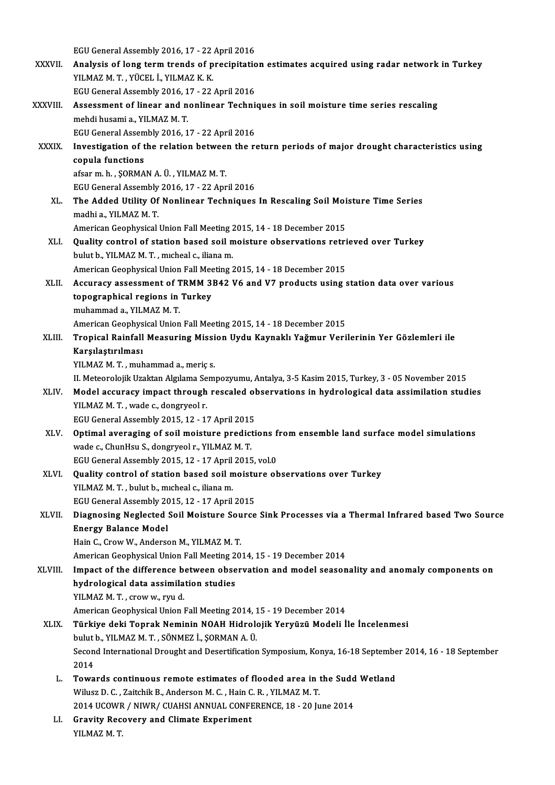EGU General Assembly 2016, 17 - 22 April 2016

- EGU General Assembly 2016, 17 22 April 2016<br>XXXVII. Analysis of long term trends of precipitation estimates acquired using radar network in Turkey EGU General Assembly 2016, 17 - 22<br>**Analysis of long term trends of p**<br>YILMAZ M. T. , YÜCEL İ., YILMAZ K. K.<br>FCU Canaral Assembly 2016, 17 - 22 Analysis of long term trends of precipitation<br>EGU General Assembly 2016, 17 - 22 April 2016<br>Assessment of linear and nonlinear Teshni YILMAZ M. T. , YÜCEL İ., YILMAZ K. K.<br>EGU General Assembly 2016, 17 - 22 April 2016<br>XXXVIII. Assessment of linear and nonlinear Techniques in soil moisture time series rescaling<br>mobdi husami a \_VILMAZ M\_T
- EGU General Assembly 2016, 17 22 April 2016<br>Assessment of linear and nonlinear Techni<br>mehdi husami a., YILMAZ M. T. Assessment of linear and nonlinear Technic<br>mehdi husami a., YILMAZ M. T.<br>EGU General Assembly 2016, 17 - 22 April 2016<br>Investigation of the relation between the re mehdi husami a., YILMAZ M. T.<br>EGU General Assembly 2016, 17 - 22 April 2016<br>XXXIX. Investigation of the relation between the return periods of major drought characteristics using<br>conula functions
- EGU General Assembly 2016, 17 22 April 2016<br>Investigation of the relation between the r<br>copula functions<br>afsar m. h., SORMAN A. Ü., YILMAZ M. T. Investigation of the relation betwee:<br>copula functions<br>afsar m. h. , ŞORMAN A. Ü. , YILMAZ M. T.<br>ECU Ceneral Assembly 2016-17 - 22 Apr copula functions<br>afsar m. h. , ŞORMAN A. Ü. , YILMAZ M. T.<br>EGU General Assembly 2016, 17 - 22 April 2016<br>The Added Htility Of Neplineer Techniques

XL. The Added Utility Of Nonlinear Techniques In Rescaling Soil Moisture Time Series madhi a., YILMAZ M. T. EGU General Assembly<br>The Added Utility Of<br>madhi a., YILMAZ M. T.<br>American Coophysical The Added Utility Of Nonlinear Techniques In Rescaling Soil Moi<br>madhi a., YILMAZ M. T.<br>American Geophysical Union Fall Meeting 2015, 14 - 18 December 2015<br>Quality control of station based soil maisture absorvations ratri

- madhi a., YILMAZ M. T.<br>American Geophysical Union Fall Meeting 2015, 14 18 December 2015<br>XLI. Quality control of station based soil moisture observations retrieved over Turkey<br>bylyth YUMAZM T. mysheel 6. iliana m American Geophysical Union Fall Meeting 2<br>Quality control of station based soil n<br>bulut b., YILMAZ M. T. , mıcheal c., iliana m.<br>American Coophysical Union Fall Meeting 2 Quality control of station based soil moisture observations retri<br>bulut b., YILMAZ M. T. , micheal c., iliana m.<br>American Geophysical Union Fall Meeting 2015, 14 - 18 December 2015<br>Acquinaty assossment of TBMM 2B42 V6 and bulut b., YILMAZ M. T. , micheal c., iliana m.<br>American Geophysical Union Fall Meeting 2015, 14 - 18 December 2015<br>XLII. Accuracy assessment of TRMM 3B42 V6 and V7 products using station data over various<br>tonographical pog
- American Geophysical Union Fall Mee<br>Accuracy assessment of TRMM 3<br>topographical regions in Turkey<br>muhammad a YUM47 M T Accuracy assessment of T<br>topographical regions in<br>muhammad a., YILMAZ M. T.<br>American Ceenhusical Union topographical regions in Turkey<br>muhammad a., YILMAZ M. T.<br>American Geophysical Union Fall Meeting 2015, 14 - 18 December 2015<br>Tropical Bainfall Measuring Mission Urdu Kaunaklı Yağmur Veri

muhammad a., YILMAZ M. T.<br>American Geophysical Union Fall Meeting 2015, 14 - 18 December 2015<br>XLIII. Tropical Rainfall Measuring Mission Uydu Kaynaklı Yağmur Verilerinin Yer Gözlemleri ile<br>Karşılaştırılması American Geophys<br>Tropical Rainfall<br>Karşılaştırılması<br><sup>VII MAZ M T muh</sup> Karşılaştırılması<br>YILMAZ M. T. , muhammad a., meriç s.<br>II. Meteorolojik Uzaktan Algılama Sempozyumu, Antalya, 3-5 Kasim 2015, Turkey, 3 - 05 November 2015<br>Model aseynasy impast through ressaled absorvations in hydrologisal

YILMAZM.T., muhammad a., meriç s.

YILMAZ M. T. , muhammad a., meriç s.<br>II. Meteorolojik Uzaktan Algılama Sempozyumu, Antalya, 3-5 Kasim 2015, Turkey, 3 - 05 November 2015<br>XLIV. Model accuracy impact through rescaled observations in hydrological data as II. Meteorolojik Uzaktan Algılama Se<br>Model accuracy impact through<br>YILMAZ M. T. , wade c., dongryeol r.<br>FCU Coneral Assembly 2015-12-11 Model accuracy impact through rescaled of<br>YILMAZ M. T. , wade c., dongryeol r.<br>EGU General Assembly 2015, 12 - 17 April 2015<br>Ontimal averaging of soil moisture prodicti

- YILMAZ M. T., wade c., dongryeol r.<br>EGU General Assembly 2015, 12 17 April 2015<br>XLV. Optimal averaging of soil moisture predictions from ensemble land surface model simulations<br>wede a Churley S. dengweel r. YU M47 M. T. EGU General Assembly 2015, 12 - 17 April 2015<br>**Optimal averaging of soil moisture predict**<br>wade c., ChunHsu S., dongryeol r., YILMAZ M. T. Optimal averaging of soil moisture predictions f<br>wade c., ChunHsu S., dongryeol r., YILMAZ M. T.<br>EGU General Assembly 2015, 12 - 17 April 2015, vol.0<br>Quality control of station based soil moisture ob wade c., ChunHsu S., dongryeol r., YILMAZ M. T.<br>EGU General Assembly 2015, 12 - 17 April 2015, vol.0<br>XLVI. Quality control of station based soil moisture observations over Turkey<br>VILMAZ M. T. bulut b. michael s. ijone m
- EGU General Assembly 2015, 12 17 April<br>Quality control of station based soil n<br>YILMAZ M.T., bulut b., micheal c., iliana m. Quality control of station based soil moistu<br>YILMAZ M. T. , bulut b., micheal c., iliana m.<br>EGU General Assembly 2015, 12 - 17 April 2015<br>Diagnosing Negleated Soil Moistune Seuree YILMAZ M. T. , bulut b., micheal c., iliana m.<br>EGU General Assembly 2015, 12 - 17 April 2015<br>XLVII. Diagnosing Neglected Soil Moisture Source Sink Processes via a Thermal Infrared based Two Source<br>Energy Belange Medel

EGU General Assembly 20<br>Diagnosing Neglected<br>Energy Balance Model<br>Hain C. Crow W. Anderse Diagnosing Neglected Soil Moisture Sou<br>Energy Balance Model<br>Hain C., Crow W., Anderson M., YILMAZ M. T.<br>American Coophysical Union Fall Mosting 20. Energy Balance Model<br>Hain C., Crow W., Anderson M., YILMAZ M. T.<br>American Geophysical Union Fall Meeting 2014, 15 - 19 December 2014<br>Impact of the difference between observation and model season

Hain C., Crow W., Anderson M., YILMAZ M. T.<br>American Geophysical Union Fall Meeting 2014, 15 - 19 December 2014<br>XLVIII. Impact of the difference between observation and model seasonality and anomaly components on<br>hydrologi American Geophysical Union Fall Meeting 2<br>Impact of the difference between obse<br>hydrological data assimilation studies<br>YU MAZ M T - STOW W - FIN d Impact of the difference b<br>hydrological data assimila<br>YILMAZ M. T. , crow w., ryu d.<br>American Coophysical Union l hydrological data assimilation studies<br>YILMAZ M. T. , crow w., ryu d.<br>American Geophysical Union Fall Meeting 2014, 15 - 19 December 2014<br>Türkiye deki Tenrek Neminin NOAH Hidrolojik Yervüzü Medeli İ XLIX. Türkiye deki Toprak Neminin NOAH Hidrolojik Yeryüzü Modeli İle İncelenmesi

## American Geophysical Union Fall Meeting 2014, 1<br>Türkiye deki Toprak Neminin NOAH Hidrold<br>bulut b., YILMAZ M. T. , SÖNMEZ İ., ŞORMAN A. Ü.<br>Sesend International Dreught and Desertification Second International Drought and Desertification Symposium, Konya, 16-18 September 2014, 16 - 18 September 2014 bulut b., YILMAZ M. T., SÖNMEZ İ., SORMAN A. Ü. Second International Drought and Desertification Symposium, Konya, 16-18 Septembe<br>2014<br>L. Towards continuous remote estimates of flooded area in the Sudd Wetland<br>Wilyar D. C. Zaitabily B. Anderson M. C. Hain C. B. VII MAZ

- 2014<br>Towards continuous remote estimates of flooded area in t<br>Wilusz D. C. , Zaitchik B., Anderson M. C. , Hain C. R. , YILMAZ M. T.<br>2014 UCOWR / NIWR / CUAHSLANNUAL CONFERENCE 19 20 Iv Towards continuous remote estimates of flooded area in the Sudd<br>Wilusz D. C. , Zaitchik B., Anderson M. C. , Hain C. R. , YILMAZ M. T.<br>2014 UCOWR / NIWR/ CUAHSI ANNUAL CONFERENCE, 18 - 20 June 2014<br>Crevity Besevery and Cli Wilusz D. C. , Zaitchik B., Anderson M. C. , Hain C. R. , YILMAZ M. T.<br>2014 UCOWR / NIWR/ CUAHSI ANNUAL CONFERENCE, 18 - 20 Ju<br>LI. Gravity Recovery and Climate Experiment<br>YILMAZ M. T. 2014 UCOWR / NIWR/ CUAHSI ANNUAL CONFERENCE, 18 - 20 June 2014
-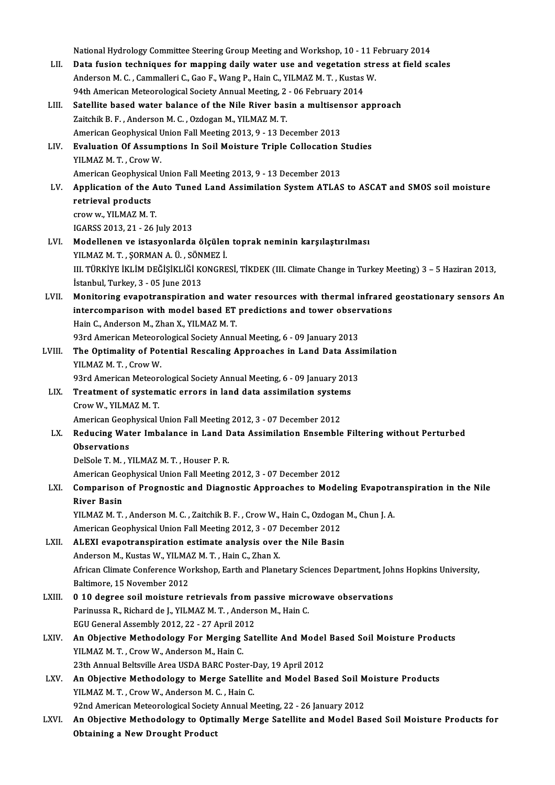National Hydrology Committee Steering Group Meeting and Workshop, 10 - 11 February 2014<br>Data fusion techniques for monning daily water use and woretation stress at field as LII. Data fusion techniques for mapping daily water use and vegetation stress at field scales National Hydrology Committee Steering Group Meeting and Workshop, 10 - 11 F<br>Data fusion techniques for mapping daily water use and vegetation stre<br>Anderson M. C. , Cammalleri C., Gao F., Wang P., Hain C., YILMAZ M. T. , Ku Anderson M. C., Cammalleri C., Gao F., Wang P., Hain C., YILMAZ M. T., Kustas W. Anderson M. C. , Cammalleri C., Gao F., Wang P., Hain C., YILMAZ M. T. , Kustas W.<br>94th American Meteorological Society Annual Meeting, 2 - 06 February 2014<br>LIII. Satellite based water balance of the Nile River basin a mul 94th American Meteorological Society Annual Meeting, 2 - 06 February 2014<br>Satellite based water balance of the Nile River basin a multisensor a<br>Zaitchik B. F., Anderson M. C., Ozdogan M., YILMAZ M. T. Satellite based water balance of the Nile River basin a multisen<br>Zaitchik B. F. , Anderson M. C. , Ozdogan M., YILMAZ M. T.<br>American Geophysical Union Fall Meeting 2013, 9 - 13 December 2013<br>Evaluation Of Accumptions In So LIV. Evaluation Of Assumptions In Soil Moisture Triple Collocation Studies<br>YILMAZ M, T, Crow W, American Geophysical Union Fall Meeting 2013, 9 - 13 December 2013 Evaluation Of Assumptions In Soil Moisture Triple Collocation S<br>American Geophysical Union Fall Meeting 2013, 9 - 13 December 2013<br>Annligation of the Aute Tuned Land Assimilation System ATLAS YILMAZ M. T. , Crow W.<br>American Geophysical Union Fall Meeting 2013, 9 - 13 December 2013<br>LV. Application of the Auto Tuned Land Assimilation System ATLAS to ASCAT and SMOS soil moisture<br>natriousl products American Geophysica<br>Application of the<br>retrieval products **Application of the A<br>retrieval products<br>crow w., YILMAZ M. T.**<br>ICAPSS 2012-21-261 retrieval products<br>crow w., YILMAZ M. T.<br>IGARSS 2013, 21 - 26 July 2013 LVI. Modellenen ve istasyonlarda ölçülen toprak neminin karşılaştırılması IGARSS 2013, 21 - 26 July 2013<br>Modellenen ve istasyonlarda ölçülen<br>YILMAZ M. T. , ŞORMAN A. Ü. , SÖNMEZ İ.<br>III. TÜRKİVE İKI İM DEĞİSİKI İĞİ KONCRE III. TÜRKİYE İKLİM DEĞİŞİKLİĞİ KONGRESİ, TİKDEK (III. Climate Change in Turkey Meeting) 3 – 5 Haziran 2013,<br>İstanbul, Turkey, 3 - 05 June 2013 YILMAZ M. T. , ŞORMAN A. Ü. , SÖN<br>III. TÜRKİYE İKLİM DEĞİŞİKLİĞİ KO<br>İstanbul, Turkey, 3 - 05 June 2013<br>Monitaning evenetranenination LVII. Monitoring evapotranspiration and water resources with thermal infrared geostationary sensors An istanbul, Turkey, 3 - 05 June 2013<br>Monitoring evapotranspiration and water resources with thermal infrared<br>intercomparison with model based ET predictions and tower observations<br>Hain C. Anderson M. Zhan Y. VII MAZ M.T. Monitoring evapotranspiration and wa<br>intercomparison with model based ET<br>Hain C., Anderson M., Zhan X., YILMAZ M.T.<br>92rd American Meteorological Society Annu intercomparison with model based ET predictions and tower obser<br>Hain C., Anderson M., Zhan X., YILMAZ M. T.<br>93rd American Meteorological Society Annual Meeting, 6 - 09 January 2013<br>The Ontimality of Petential Pescaling Ann Hain C., Anderson M., Zhan X., YILMAZ M. T.<br>93rd American Meteorological Society Annual Meeting, 6 - 09 January 2013<br>LVIII. The Optimality of Potential Rescaling Approaches in Land Data Assimilation<br>VILMAZ M. T. Crow W. 93rd American Meteord<br>The Optimality of Pot<br>YILMAZ M. T. , Crow W.<br>93rd American Meteord The Optimality of Potential Rescaling Approaches in Land Data Assi<br>YILMAZ M. T. , Crow W.<br>93rd American Meteorological Society Annual Meeting, 6 - 09 January 2013<br>Treatment of systematic errors in land data assimilation sy YILMAZ M. T. , Crow W.<br>93rd American Meteorological Society Annual Meeting, 6 - 09 January 201<br>LIX. Treatment of systematic errors in land data assimilation systems<br>Crow W. YU MAZ M. T. 93rd American Meteorological Society Annual Meeting, 6 - 09 January 2013<br>Treatment of systematic errors in land data assimilation systems<br>Crow W., YILMAZ M. T.<br>American Geophysical Union Fall Meeting 2012, 3 - 07 December Treatment of systematic errors in land data assimilation system<br>Crow W., YILMAZ M. T.<br>American Geophysical Union Fall Meeting 2012, 3 - 07 December 2012<br>Bedusing Water Imbalange in Land Data Assimilation Ensemble Crow W., YILMAZ M. T.<br>American Geophysical Union Fall Meeting 2012, 3 - 07 December 2012<br>LX. Reducing Water Imbalance in Land Data Assimilation Ensemble Filtering without Perturbed<br>Observations American Geop<br>Reducing Wat<br>Observations<br><sup>DelSele TM W</sup> Reducing Water Imbalance in Land D<br>Observations<br>DelSole T. M. , YILMAZ M. T. , Houser P. R.<br>American Coephysical Union Fall Meeting Observations<br>DelSole T. M. , YILMAZ M. T. , Houser P. R.<br>American Geophysical Union Fall Meeting 2012, 3 - 07 December 2012<br>Comparison of Brognestis and Disgrestis Annreashes to Model DelSole T. M. , YILMAZ M. T. , Houser P. R.<br>American Geophysical Union Fall Meeting 2012, 3 - 07 December 2012<br>LXI. Comparison of Prognostic and Diagnostic Approaches to Modeling Evapotranspiration in the Nile American Geo<br>Comparison<br>River Basin<br><sup>VII MAZ M.T</sup> Comparison of Prognostic and Diagnostic Approaches to Modeling Evapotra<br>River Basin<br>YILMAZ M.T., Anderson M.C., Zaitchik B.F., Crow W., Hain C., Ozdogan M., Chun J. A.<br>American Coophysical Union Fall Meeting 2012, 2, .07 D River Basin<br>YILMAZ M. T. , Anderson M. C. , Zaitchik B. F. , Crow W., Hain C., Ozdogan M., Chun J. A.<br>American Geophysical Union Fall Meeting 2012, 3 - 07 December 2012 LXII. ALEXI evapotranspiration estimate analysis over the Nile Basin American Geophysical Union Fall Meeting 2012, 3 - 07 |<br>ALEXI evapotranspiration estimate analysis over<br>Anderson M., Kustas W., YILMAZ M. T. , Hain C., Zhan X.<br>African Climate Conforance Werksbon, Farth and Plane African Climate Conference Workshop, Earth and Planetary Sciences Department, Johns Hopkins University, Baltimore, 15 November 2012 Anderson M., Kustas W., YILMA<br>African Climate Conference Wo<br>Baltimore, 15 November 2012 African Climate Conference Workshop, Earth and Planetary Sciences Department, Joh<br>Baltimore, 15 November 2012<br>LXIII. 0 10 degree soil moisture retrievals from passive microwave observations<br>Parinusce B. Bishard de L. VII M Baltimore, 15 November 2012<br>**0 10 degree soil moisture retrievals from passive micro**<br>Parinussa R., Richard de J., YILMAZ M. T. , Anderson M., Hain C.<br>FCU Coneral Assembly 2012, 22, 27 April 2012 0 10 degree soil moisture retrievals from p<br>Parinussa R., Richard de J., YILMAZ M. T. , Anders<br>EGU General Assembly 2012, 22 - 27 April 2012<br>An Objective Methodology For Morging Sot Parinussa R., Richard de J., YILMAZ M. T. , Anderson M., Hain C.<br>EGU General Assembly 2012, 22 - 27 April 2012<br>LXIV. An Objective Methodology For Merging Satellite And Model Based Soil Moisture Products<br>VILMAZ M. T. Crow W EGU General Assembly 2012, 22 - 27 April 2012<br>An Objective Methodology For Merging Sat<br>YILMAZ M. T. . Crow W., Anderson M., Hain C. An Objective Methodology For Merging Satellite And Model<br>23th Annual Beltsville Area USDA BARC Poster-Day, 19 April 2012<br>23th Annual Beltsville Area USDA BARC Poster-Day, 19 April 2012<br>An Objective Methodology to Merge Sat YILMAZ M. T. , Crow W., Anderson M., Hain C.<br>23th Annual Beltsville Area USDA BARC Poster-Day, 19 April 2012<br>LXV. An Objective Methodology to Merge Satellite and Model Based Soil Moisture Products<br>2011 MAZ M. T. Crow W. An 23th Annual Beltsville Area USDA BARC Poster-Day, 19 April 2012<br>An Objective Methodology to Merge Satellite and Model Based Soil N<br>YILMAZ M. T., Crow W., Anderson M. C., Hain C.<br>92nd American Meteorological Society Annual An Objective Methodology to Merge Satellite and Model Based Soil M<br>YILMAZ M. T. , Crow W., Anderson M. C. , Hain C.<br>92nd American Meteorological Society Annual Meeting, 22 - 26 January 2012<br>An Objective Methodology to Onti LXVI. An Objective Methodology to Optimally Merge Satellite and Model Based Soil Moisture Products for Obtaining a New Drought Product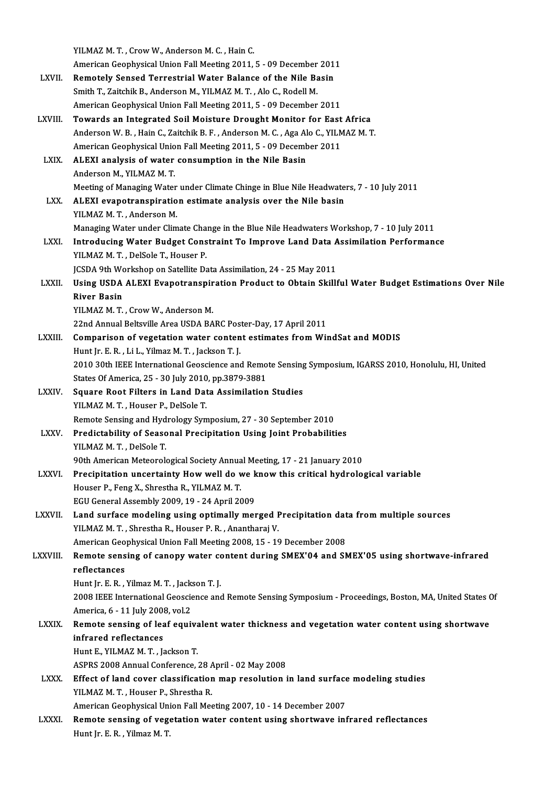|                 | YILMAZ M.T., Crow W., Anderson M.C., Hain C.                                                                |
|-----------------|-------------------------------------------------------------------------------------------------------------|
|                 | American Geophysical Union Fall Meeting 2011, 5 - 09 December 2011                                          |
| <b>LXVII</b>    | Remotely Sensed Terrestrial Water Balance of the Nile Basin                                                 |
|                 | Smith T., Zaitchik B., Anderson M., YILMAZ M. T., Alo C., Rodell M.                                         |
|                 | American Geophysical Union Fall Meeting 2011, 5 - 09 December 2011                                          |
| LXVIII.         | Towards an Integrated Soil Moisture Drought Monitor for East Africa                                         |
|                 | Anderson W. B., Hain C., Zaitchik B. F., Anderson M. C., Aga Alo C., YILMAZ M. T.                           |
|                 | American Geophysical Union Fall Meeting 2011, 5 - 09 December 2011                                          |
| LXIX.           | ALEXI analysis of water consumption in the Nile Basin                                                       |
|                 | Anderson M., YILMAZ M. T.                                                                                   |
|                 | Meeting of Managing Water under Climate Chinge in Blue Nile Headwaters, 7 - 10 July 2011                    |
| LXX.            | ALEXI evapotranspiration estimate analysis over the Nile basin                                              |
|                 | YILMAZ M T, Anderson M.                                                                                     |
|                 | Managing Water under Climate Change in the Blue Nile Headwaters Workshop, 7 - 10 July 2011                  |
| LXXI.           | Introducing Water Budget Constraint To Improve Land Data Assimilation Performance                           |
|                 | YILMAZ M. T., DelSole T., Houser P.                                                                         |
|                 | JCSDA 9th Workshop on Satellite Data Assimilation, 24 - 25 May 2011                                         |
| LXXII.          | Using USDA ALEXI Evapotranspiration Product to Obtain Skillful Water Budget Estimations Over Nile           |
|                 | <b>River Basin</b>                                                                                          |
|                 | YILMAZ M.T., Crow W., Anderson M.                                                                           |
|                 | 22nd Annual Beltsville Area USDA BARC Poster-Day, 17 April 2011                                             |
| LXXIII.         | Comparison of vegetation water content estimates from WindSat and MODIS                                     |
|                 | Hunt Jr. E. R., Li L., Yilmaz M. T., Jackson T. J.                                                          |
|                 | 2010 30th IEEE International Geoscience and Remote Sensing Symposium, IGARSS 2010, Honolulu, HI, United     |
|                 | States Of America, 25 - 30 July 2010, pp.3879-3881                                                          |
| <b>LXXIV</b>    | Square Root Filters in Land Data Assimilation Studies                                                       |
|                 | YILMAZ M.T., Houser P., DelSole T.                                                                          |
|                 | Remote Sensing and Hydrology Symposium, 27 - 30 September 2010                                              |
| <b>LXXV</b>     | Predictability of Seasonal Precipitation Using Joint Probabilities                                          |
|                 | YILMAZ M.T., DelSole T.                                                                                     |
|                 | 90th American Meteorological Society Annual Meeting, 17 - 21 January 2010                                   |
| <b>LXXVI</b> .  | Precipitation uncertainty How well do we know this critical hydrological variable                           |
|                 | Houser P., Feng X., Shrestha R., YILMAZ M.T.                                                                |
|                 | EGU General Assembly 2009, 19 - 24 April 2009                                                               |
| LXXVII.         | Land surface modeling using optimally merged Precipitation data from multiple sources                       |
|                 | YILMAZ M. T., Shrestha R., Houser P. R., Anantharaj V.                                                      |
|                 | American Geophysical Union Fall Meeting 2008, 15 - 19 December 2008                                         |
| <b>LXXVIII.</b> | Remote sensing of canopy water content during SMEX'04 and SMEX'05 using shortwave-infrared                  |
|                 | reflectances                                                                                                |
|                 | Hunt Jr. E. R., Yilmaz M. T., Jackson T. J.                                                                 |
|                 | 2008 IEEE International Geoscience and Remote Sensing Symposium - Proceedings, Boston, MA, United States Of |
|                 | America, 6 - 11 July 2008, vol 2                                                                            |
| <b>LXXIX</b>    | Remote sensing of leaf equivalent water thickness and vegetation water content using shortwave              |
|                 | infrared reflectances                                                                                       |
|                 | Hunt E., YILMAZ M. T., Jackson T.                                                                           |
|                 | ASPRS 2008 Annual Conference, 28 April - 02 May 2008                                                        |
| <b>LXXX</b>     | Effect of land cover classification map resolution in land surface modeling studies                         |
|                 | YILMAZ M.T., Houser P., Shrestha R.                                                                         |
|                 | American Geophysical Union Fall Meeting 2007, 10 - 14 December 2007                                         |
| <b>LXXXI</b>    | Remote sensing of vegetation water content using shortwave infrared reflectances                            |
|                 | Hunt Jr. E. R., Yilmaz M. T.                                                                                |
|                 |                                                                                                             |